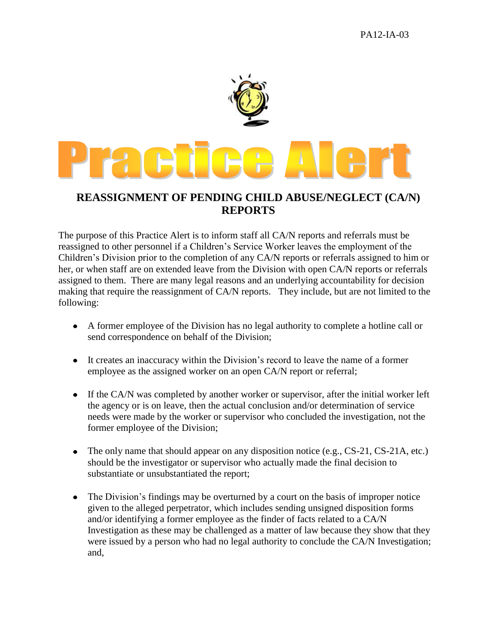

## **REASSIGNMENT OF PENDING CHILD ABUSE/NEGLECT (CA/N) REPORTS**

The purpose of this Practice Alert is to inform staff all CA/N reports and referrals must be reassigned to other personnel if a Children's Service Worker leaves the employment of the Children's Division prior to the completion of any CA/N reports or referrals assigned to him or her, or when staff are on extended leave from the Division with open CA/N reports or referrals assigned to them. There are many legal reasons and an underlying accountability for decision making that require the reassignment of CA/N reports. They include, but are not limited to the following:

- A former employee of the Division has no legal authority to complete a hotline call or send correspondence on behalf of the Division;
- It creates an inaccuracy within the Division's record to leave the name of a former employee as the assigned worker on an open CA/N report or referral;
- If the CA/N was completed by another worker or supervisor, after the initial worker left the agency or is on leave, then the actual conclusion and/or determination of service needs were made by the worker or supervisor who concluded the investigation, not the former employee of the Division;
- The only name that should appear on any disposition notice (e.g., CS-21, CS-21A, etc.)  $\bullet$ should be the investigator or supervisor who actually made the final decision to substantiate or unsubstantiated the report;
- The Division's findings may be overturned by a court on the basis of improper notice  $\bullet$ given to the alleged perpetrator, which includes sending unsigned disposition forms and/or identifying a former employee as the finder of facts related to a CA/N Investigation as these may be challenged as a matter of law because they show that they were issued by a person who had no legal authority to conclude the CA/N Investigation; and,